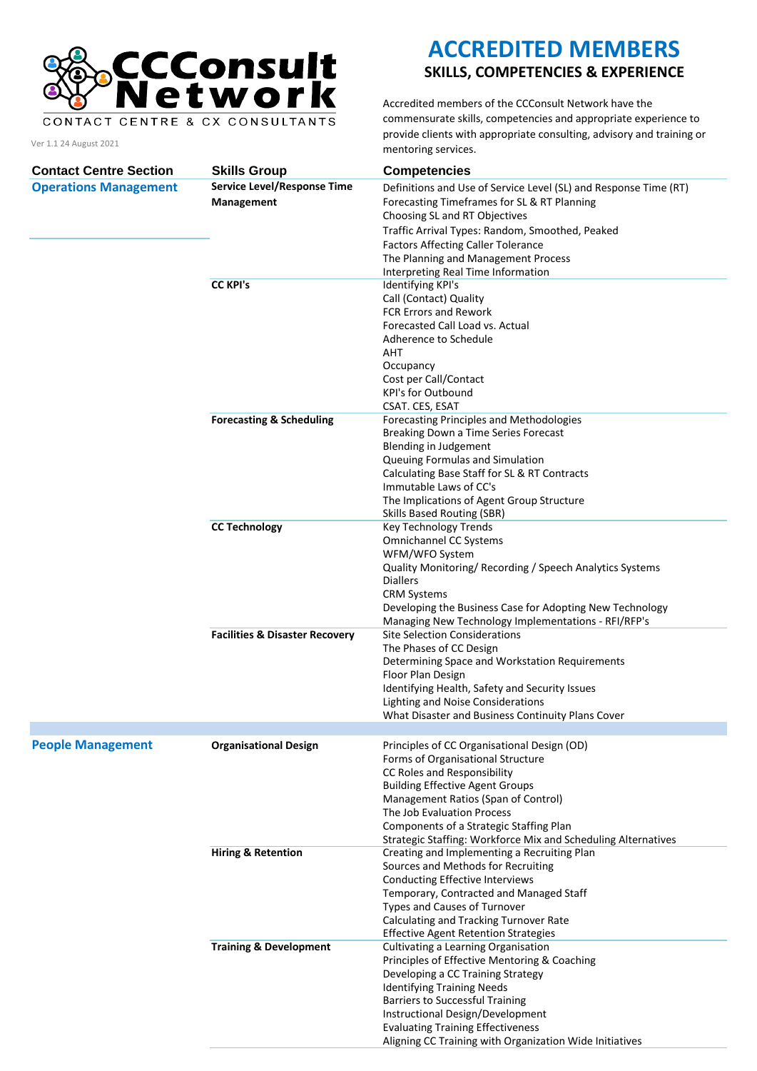

CONTACT CENTRE & CX CONSULTANTS

Ver 1.1 24 August 2021

**ACCREDITED MEMBERS**

## **SKILLS, COMPETENCIES & EXPERIENCE**

Accredited members of the CCConsult Network have the commensurate skills, competencies and appropriate experience to provide clients with appropriate consulting, advisory and training or mentoring services.

| <b>Contact Centre Section</b> | <b>Skills Group</b>                       | <b>Competencies</b>                                                                                             |
|-------------------------------|-------------------------------------------|-----------------------------------------------------------------------------------------------------------------|
| <b>Operations Management</b>  | <b>Service Level/Response Time</b>        | Definitions and Use of Service Level (SL) and Response Time (RT)                                                |
|                               | Management                                | Forecasting Timeframes for SL & RT Planning<br>Choosing SL and RT Objectives                                    |
|                               |                                           | Traffic Arrival Types: Random, Smoothed, Peaked                                                                 |
|                               |                                           | <b>Factors Affecting Caller Tolerance</b>                                                                       |
|                               |                                           | The Planning and Management Process                                                                             |
|                               |                                           | Interpreting Real Time Information                                                                              |
|                               | <b>CC KPI's</b>                           | Identifying KPI's                                                                                               |
|                               |                                           | Call (Contact) Quality<br><b>FCR Errors and Rework</b>                                                          |
|                               |                                           | Forecasted Call Load vs. Actual                                                                                 |
|                               |                                           | Adherence to Schedule                                                                                           |
|                               |                                           | AHT                                                                                                             |
|                               |                                           | Occupancy                                                                                                       |
|                               |                                           | Cost per Call/Contact<br><b>KPI's for Outbound</b>                                                              |
|                               |                                           | CSAT. CES, ESAT                                                                                                 |
|                               | <b>Forecasting &amp; Scheduling</b>       | Forecasting Principles and Methodologies                                                                        |
|                               |                                           | Breaking Down a Time Series Forecast                                                                            |
|                               |                                           | Blending in Judgement                                                                                           |
|                               |                                           | Queuing Formulas and Simulation<br>Calculating Base Staff for SL & RT Contracts                                 |
|                               |                                           | Immutable Laws of CC's                                                                                          |
|                               |                                           | The Implications of Agent Group Structure                                                                       |
|                               |                                           | Skills Based Routing (SBR)                                                                                      |
|                               | <b>CC Technology</b>                      | Key Technology Trends                                                                                           |
|                               |                                           | Omnichannel CC Systems                                                                                          |
|                               |                                           | WFM/WFO System<br>Quality Monitoring/ Recording / Speech Analytics Systems                                      |
|                               |                                           | <b>Diallers</b>                                                                                                 |
|                               |                                           | <b>CRM Systems</b>                                                                                              |
|                               |                                           | Developing the Business Case for Adopting New Technology<br>Managing New Technology Implementations - RFI/RFP's |
|                               | <b>Facilities &amp; Disaster Recovery</b> | <b>Site Selection Considerations</b>                                                                            |
|                               |                                           | The Phases of CC Design                                                                                         |
|                               |                                           | Determining Space and Workstation Requirements<br>Floor Plan Design                                             |
|                               |                                           | Identifying Health, Safety and Security Issues                                                                  |
|                               |                                           | Lighting and Noise Considerations                                                                               |
|                               |                                           | What Disaster and Business Continuity Plans Cover                                                               |
|                               |                                           |                                                                                                                 |
| <b>People Management</b>      | <b>Organisational Design</b>              | Principles of CC Organisational Design (OD)                                                                     |
|                               |                                           | Forms of Organisational Structure                                                                               |
|                               |                                           | CC Roles and Responsibility<br><b>Building Effective Agent Groups</b>                                           |
|                               |                                           | Management Ratios (Span of Control)                                                                             |
|                               |                                           | The Job Evaluation Process                                                                                      |
|                               |                                           | Components of a Strategic Staffing Plan                                                                         |
|                               |                                           | Strategic Staffing: Workforce Mix and Scheduling Alternatives                                                   |
|                               | <b>Hiring &amp; Retention</b>             | Creating and Implementing a Recruiting Plan                                                                     |
|                               |                                           | Sources and Methods for Recruiting<br>Conducting Effective Interviews                                           |
|                               |                                           | Temporary, Contracted and Managed Staff                                                                         |
|                               |                                           | Types and Causes of Turnover                                                                                    |
|                               |                                           | Calculating and Tracking Turnover Rate                                                                          |
|                               |                                           | <b>Effective Agent Retention Strategies</b>                                                                     |
|                               | <b>Training &amp; Development</b>         | Cultivating a Learning Organisation<br>Principles of Effective Mentoring & Coaching                             |
|                               |                                           | Developing a CC Training Strategy                                                                               |
|                               |                                           | <b>Identifying Training Needs</b>                                                                               |
|                               |                                           | <b>Barriers to Successful Training</b>                                                                          |
|                               |                                           | Instructional Design/Development                                                                                |
|                               |                                           | <b>Evaluating Training Effectiveness</b>                                                                        |
|                               |                                           | Aligning CC Training with Organization Wide Initiatives                                                         |